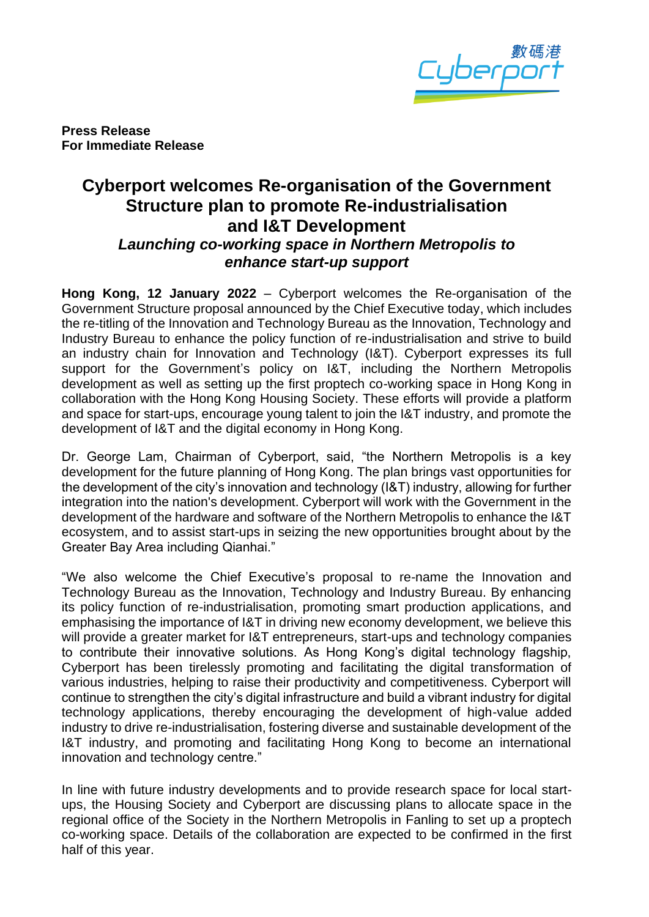

**Press Release For Immediate Release**

## **Cyberport welcomes Re-organisation of the Government Structure plan to promote Re-industrialisation and I&T Development** *Launching co-working space in Northern Metropolis to enhance start-up support*

**Hong Kong, 12 January 2022** – Cyberport welcomes the Re-organisation of the Government Structure proposal announced by the Chief Executive today, which includes the re-titling of the Innovation and Technology Bureau as the Innovation, Technology and Industry Bureau to enhance the policy function of re-industrialisation and strive to build an industry chain for Innovation and Technology (I&T). Cyberport expresses its full support for the Government's policy on I&T, including the Northern Metropolis development as well as setting up the first proptech co-working space in Hong Kong in collaboration with the Hong Kong Housing Society. These efforts will provide a platform and space for start-ups, encourage young talent to join the I&T industry, and promote the development of I&T and the digital economy in Hong Kong.

Dr. George Lam, Chairman of Cyberport, said, "the Northern Metropolis is a key development for the future planning of Hong Kong. The plan brings vast opportunities for the development of the city's innovation and technology (I&T) industry, allowing for further integration into the nation's development. Cyberport will work with the Government in the development of the hardware and software of the Northern Metropolis to enhance the I&T ecosystem, and to assist start-ups in seizing the new opportunities brought about by the Greater Bay Area including Qianhai."

"We also welcome the Chief Executive's proposal to re-name the Innovation and Technology Bureau as the Innovation, Technology and Industry Bureau. By enhancing its policy function of re-industrialisation, promoting smart production applications, and emphasising the importance of I&T in driving new economy development, we believe this will provide a greater market for I&T entrepreneurs, start-ups and technology companies to contribute their innovative solutions. As Hong Kong's digital technology flagship, Cyberport has been tirelessly promoting and facilitating the digital transformation of various industries, helping to raise their productivity and competitiveness. Cyberport will continue to strengthen the city's digital infrastructure and build a vibrant industry for digital technology applications, thereby encouraging the development of high-value added industry to drive re-industrialisation, fostering diverse and sustainable development of the I&T industry, and promoting and facilitating Hong Kong to become an international innovation and technology centre."

In line with future industry developments and to provide research space for local startups, the Housing Society and Cyberport are discussing plans to allocate space in the regional office of the Society in the Northern Metropolis in Fanling to set up a proptech co-working space. Details of the collaboration are expected to be confirmed in the first half of this year.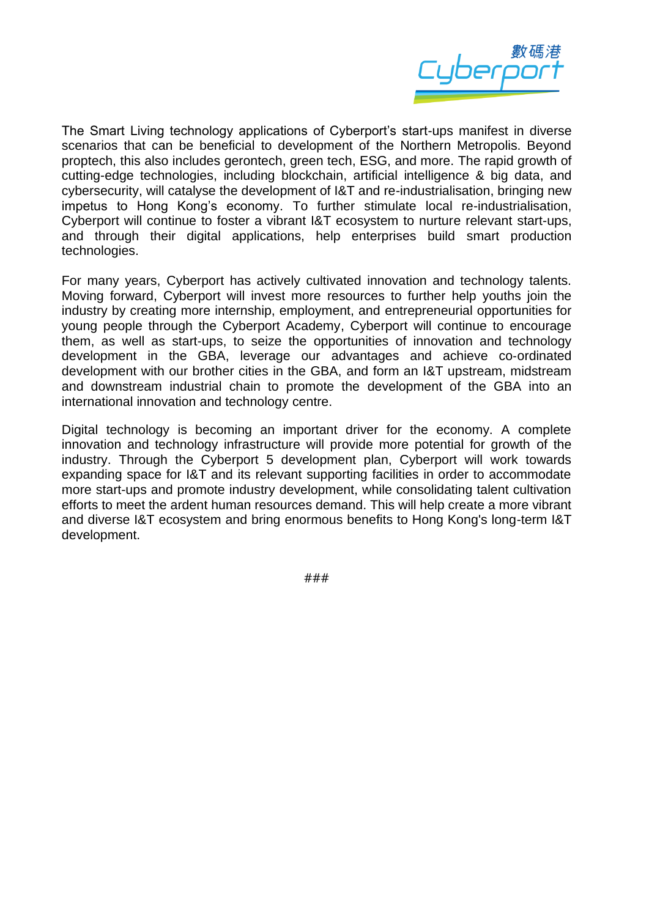

The Smart Living technology applications of Cyberport's start-ups manifest in diverse scenarios that can be beneficial to development of the Northern Metropolis. Beyond proptech, this also includes gerontech, green tech, ESG, and more. The rapid growth of cutting-edge technologies, including blockchain, artificial intelligence & big data, and cybersecurity, will catalyse the development of I&T and re-industrialisation, bringing new impetus to Hong Kong's economy. To further stimulate local re-industrialisation, Cyberport will continue to foster a vibrant I&T ecosystem to nurture relevant start-ups, and through their digital applications, help enterprises build smart production technologies.

For many years, Cyberport has actively cultivated innovation and technology talents. Moving forward, Cyberport will invest more resources to further help youths join the industry by creating more internship, employment, and entrepreneurial opportunities for young people through the Cyberport Academy, Cyberport will continue to encourage them, as well as start-ups, to seize the opportunities of innovation and technology development in the GBA, leverage our advantages and achieve co‑ordinated development with our brother cities in the GBA, and form an I&T upstream, midstream and downstream industrial chain to promote the development of the GBA into an international innovation and technology centre.

Digital technology is becoming an important driver for the economy. A complete innovation and technology infrastructure will provide more potential for growth of the industry. Through the Cyberport 5 development plan, Cyberport will work towards expanding space for I&T and its relevant supporting facilities in order to accommodate more start-ups and promote industry development, while consolidating talent cultivation efforts to meet the ardent human resources demand. This will help create a more vibrant and diverse I&T ecosystem and bring enormous benefits to Hong Kong's long-term I&T development.

###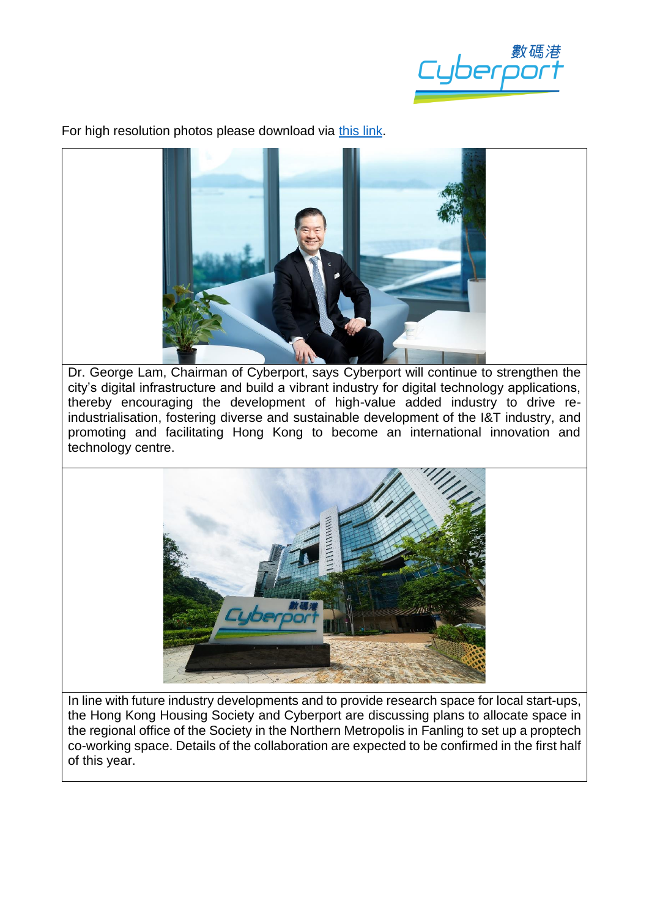tuberp<sup>e</sup>

For high resolution photos please download via [this link.](https://drive.google.com/drive/u/1/folders/1zGxrV3pDBBSeOrZ8XI2hy6hE7bNCjojb)



Dr. George Lam, Chairman of Cyberport, says Cyberport will continue to strengthen the city's digital infrastructure and build a vibrant industry for digital technology applications, thereby encouraging the development of high-value added industry to drive reindustrialisation, fostering diverse and sustainable development of the I&T industry, and promoting and facilitating Hong Kong to become an international innovation and technology centre.



In line with future industry developments and to provide research space for local start-ups, the Hong Kong Housing Society and Cyberport are discussing plans to allocate space in the regional office of the Society in the Northern Metropolis in Fanling to set up a proptech co-working space. Details of the collaboration are expected to be confirmed in the first half of this year.